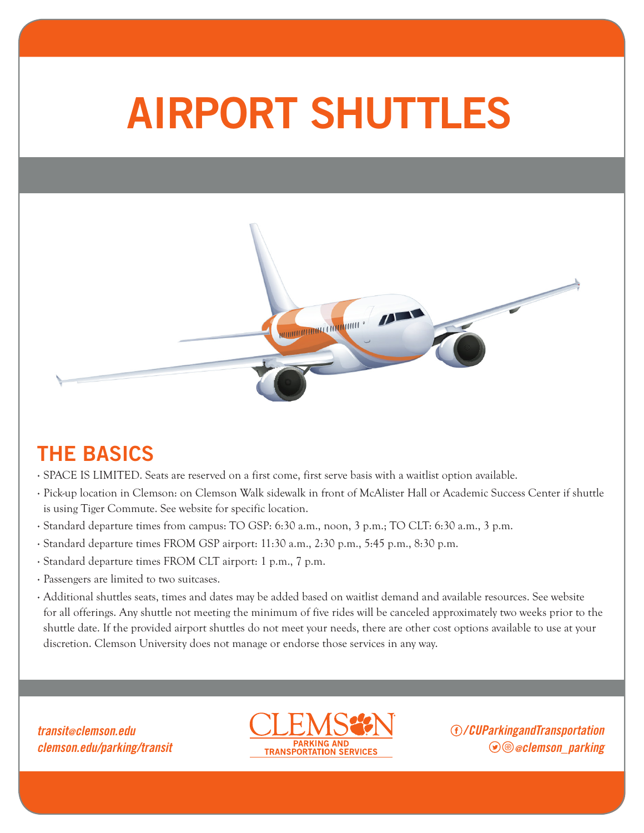## AIRPORT SHUTTLES



## THE BASICS

- · SPACE IS LIMITED. Seats are reserved on a first come, first serve basis with a waitlist option available.
- · Pick-up location in Clemson: on Clemson Walk sidewalk in front of McAlister Hall or Academic Success Center if shuttle is using Tiger Commute. See website for specific location.
- · Standard departure times from campus: TO GSP: 6:30 a.m., noon, 3 p.m.; TO CLT: 6:30 a.m., 3 p.m.
- · Standard departure times FROM GSP airport: 11:30 a.m., 2:30 p.m., 5:45 p.m., 8:30 p.m.
- · Standard departure times FROM CLT airport: 1 p.m., 7 p.m.
- · Passengers are limited to two suitcases.
- · Additional shuttles seats, times and dates may be added based on waitlist demand and available resources. See website for all offerings. Any shuttle not meeting the minimum of five rides will be canceled approximately two weeks prior to the shuttle date. If the provided airport shuttles do not meet your needs, there are other cost options available to use at your discretion. Clemson University does not manage or endorse those services in any way.